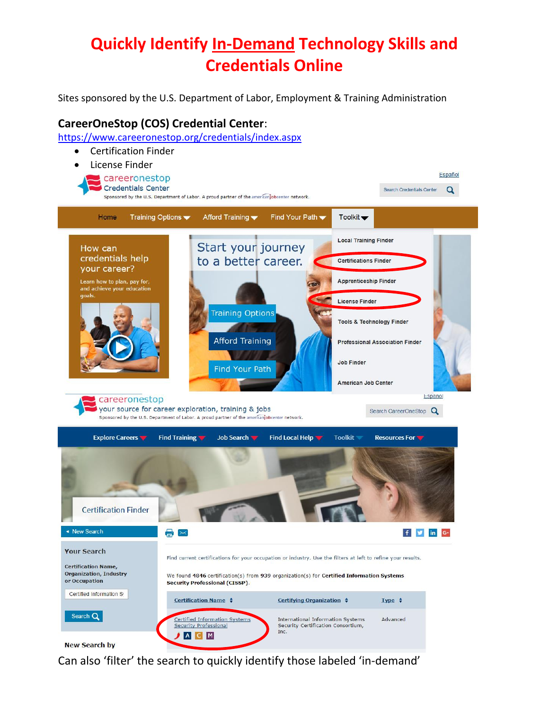# **Quickly Identify In-Demand Technology Skills and Credentials Online**

Sites sponsored by the U.S. Department of Labor, Employment & Training Administration

# **CareerOneStop (COS) Credential Center**:

[https://www.careeronestop.org/credentials/index.aspx](https://www.careeronestop.org/Credentials/Toolkit/find-certifications.aspx)



Can also 'filter' the search to quickly identify those labeled 'in-demand'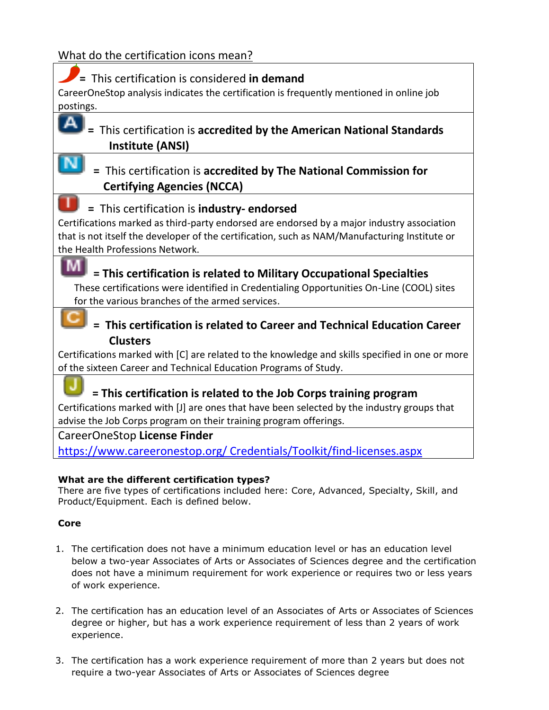# What do the certification icons mean?

| = This certification is considered in demand                                                    |
|-------------------------------------------------------------------------------------------------|
| CareerOneStop analysis indicates the certification is frequently mentioned in online job        |
| postings.                                                                                       |
| Δ                                                                                               |
| This certification is accredited by the American National Standards                             |
| <b>Institute (ANSI)</b>                                                                         |
| = This certification is accredited by The National Commission for                               |
| <b>Certifying Agencies (NCCA)</b>                                                               |
| = This certification is industry- endorsed                                                      |
| Certifications marked as third-party endorsed are endorsed by a major industry association      |
| that is not itself the developer of the certification, such as NAM/Manufacturing Institute or   |
| the Health Professions Network.                                                                 |
| M<br>= This certification is related to Military Occupational Specialties                       |
| These certifications were identified in Credentialing Opportunities On-Line (COOL) sites        |
| for the various branches of the armed services.                                                 |
|                                                                                                 |
| This certification is related to Career and Technical Education Career                          |
| <b>Clusters</b>                                                                                 |
| Certifications marked with [C] are related to the knowledge and skills specified in one or more |
| of the sixteen Career and Technical Education Programs of Study.                                |
|                                                                                                 |
| = This certification is related to the Job Corps training program                               |
| Certifications marked with [J] are ones that have been selected by the industry groups that     |
| advise the Job Corps program on their training program offerings.                               |
| CareerOneStop License Finder                                                                    |
| https://www.careeronestop.org/ Credentials/Toolkit/find-licenses.aspx                           |
|                                                                                                 |
| What are the different certification tynes?                                                     |

**What are the different certification types?** There are five types of certifications included here: Core, Advanced, Specialty, Skill, and Product/Equipment. Each is defined below.

# **Core**

- 1. The certification does not have a minimum education level or has an education level below a two-year Associates of Arts or Associates of Sciences degree and the certification does not have a minimum requirement for work experience or requires two or less years of work experience.
- 2. The certification has an education level of an Associates of Arts or Associates of Sciences degree or higher, but has a work experience requirement of less than 2 years of work experience.
- 3. The certification has a work experience requirement of more than 2 years but does not require a two-year Associates of Arts or Associates of Sciences degree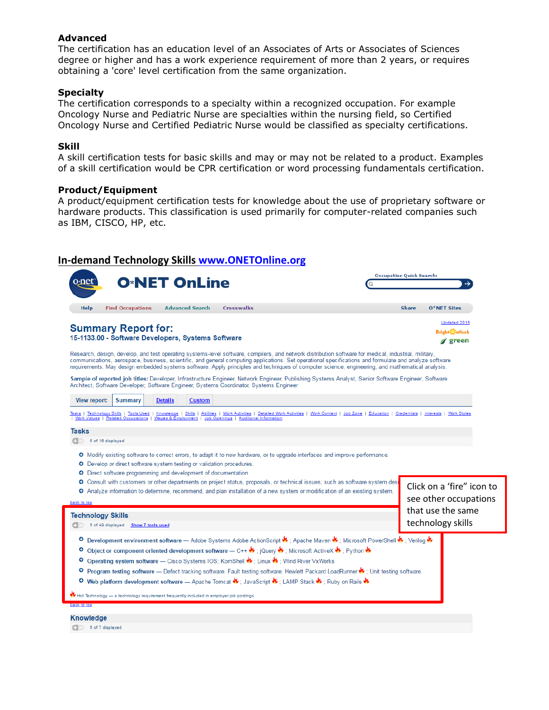#### **Advanced**

The certification has an education level of an Associates of Arts or Associates of Sciences degree or higher and has a work experience requirement of more than 2 years, or requires obtaining a 'core' level certification from the same organization.

#### **Specialty**

The certification corresponds to a specialty within a recognized occupation. For example Oncology Nurse and Pediatric Nurse are specialties within the nursing field, so Certified Oncology Nurse and Certified Pediatric Nurse would be classified as specialty certifications.

#### **Skill**

A skill certification tests for basic skills and may or may not be related to a product. Examples of a skill certification would be CPR certification or word processing fundamentals certification.

#### **Product/Equipment**

A product/equipment certification tests for knowledge about the use of proprietary software or hardware products. This classification is used primarily for computer-related companies such as IBM, CISCO, HP, etc.

### **In-demand Technology Skills [www.ONETOnline.org](http://www.onetonline.org/)**

| <b>O*NET OnLine</b>                                                                                                                                                                                                                                                                                                                                                                                                                                                 | <b>Occupation Quick Search:</b> |                                                    |  |
|---------------------------------------------------------------------------------------------------------------------------------------------------------------------------------------------------------------------------------------------------------------------------------------------------------------------------------------------------------------------------------------------------------------------------------------------------------------------|---------------------------------|----------------------------------------------------|--|
| <b>Advanced Search</b><br><b>Crosswalks</b><br><b>Help</b><br><b>Find Occupations</b>                                                                                                                                                                                                                                                                                                                                                                               | <b>Share</b>                    | $0*$ NET Sites                                     |  |
| <b>Summary Report for:</b><br>15-1133.00 - Software Developers, Systems Software                                                                                                                                                                                                                                                                                                                                                                                    |                                 | Updated 2016<br><b>Bright</b> Jutlook<br>green     |  |
| Research, design, develop, and test operating systems-level software, compilers, and network distribution software for medical, industrial, military,<br>communications, aerospace, business, scientific, and general computing applications. Set operational specifications and formulate and analyze software<br>requirements. May design embedded systems software. Apply principles and techniques of computer science, engineering, and mathematical analysis. |                                 |                                                    |  |
| Sample of reported job titles: Developer, Infrastructure Engineer, Network Engineer, Publishing Systems Analyst, Senior Software Engineer, Software<br>Architect, Software Developer, Software Engineer, Systems Coordinator, Systems Engineer                                                                                                                                                                                                                      |                                 |                                                    |  |
| <b>Summary</b><br><b>View report:</b><br><b>Details</b><br><b>Custom</b>                                                                                                                                                                                                                                                                                                                                                                                            |                                 |                                                    |  |
| Tasks   Technology Skills   Tools Used   Knowledge   Skills   Abilities   Work Activities   Detailed Work Activities   Work Context   Job Zone   Education   Credentials   Interests   Work Styles<br>  Work Values   Related Occupations   Wages & Employment   Job Openings   Additional Information                                                                                                                                                              |                                 |                                                    |  |
| <b>Tasks</b><br>5 of 16 displayed                                                                                                                                                                                                                                                                                                                                                                                                                                   |                                 |                                                    |  |
| O Modify existing software to correct errors, to adapt it to new hardware, or to upgrade interfaces and improve performance.<br>O Develop or direct software system testing or validation procedures.<br><b>O</b> Direct software programming and development of documentation.                                                                                                                                                                                     |                                 |                                                    |  |
| O Consult with customers or other departments on project status, proposals, or technical issues, such as software system desi<br>O Analyze information to determine, recommend, and plan installation of a new system or modification of an existing system.<br>back to top                                                                                                                                                                                         |                                 | Click on a 'fire" icon to<br>see other occupations |  |
| <b>Technology Skills</b>                                                                                                                                                                                                                                                                                                                                                                                                                                            |                                 | that use the same                                  |  |
| 5 of 49 displayed Show 7 tools used                                                                                                                                                                                                                                                                                                                                                                                                                                 |                                 | technology skills                                  |  |
| O Development environment software — Adobe Systems Adobe ActionScript U ; Apache Maven U ; Microsoft PowerShell U ; Verilog U                                                                                                                                                                                                                                                                                                                                       |                                 |                                                    |  |
| O Object or component oriented development software — C++ U ; jQuery U ; Microsoft ActiveX U ; Python U                                                                                                                                                                                                                                                                                                                                                             |                                 |                                                    |  |
| O Operating system software - Cisco Systems IOS; KornShell & ; Linux & ; Wind River VxWorks<br>O Program testing software — Defect tracking software; Fault testing software; Hewlett Packard LoadRunner ♦ ; Unit testing software                                                                                                                                                                                                                                  |                                 |                                                    |  |
| O Web platform development software — Apache Tomcat U ; JavaScript U ; LAMP Stack U ; Ruby on Rails U                                                                                                                                                                                                                                                                                                                                                               |                                 |                                                    |  |
| Hot Technology — a technology requirement frequently included in employer job postings.                                                                                                                                                                                                                                                                                                                                                                             |                                 |                                                    |  |
| back to top                                                                                                                                                                                                                                                                                                                                                                                                                                                         |                                 |                                                    |  |
| <b>Knowledge</b>                                                                                                                                                                                                                                                                                                                                                                                                                                                    |                                 |                                                    |  |
| 5 of 7 displayed                                                                                                                                                                                                                                                                                                                                                                                                                                                    |                                 |                                                    |  |